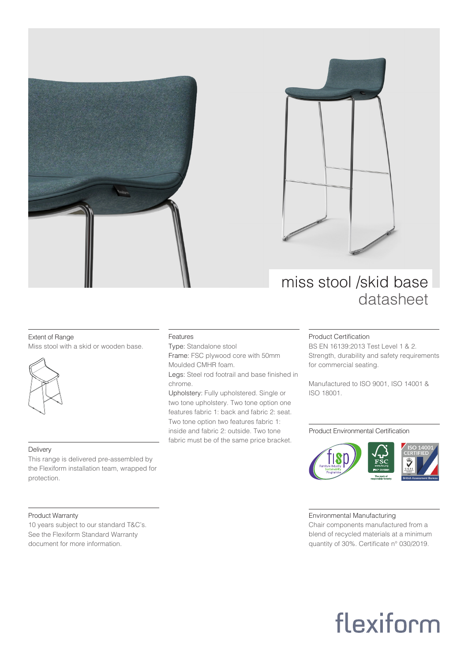



### miss stool /skid base datasheet

#### Extent of Range

Miss stool with a skid or wooden base.



#### Delivery

This range is delivered pre-assembled by the Flexiform installation team, wrapped for protection.

#### Product Warranty

10 years subject to our standard T&C's. See the Flexiform Standard Warranty document for more information.

#### Features

Type: Standalone stool Frame: FSC plywood core with 50mm Moulded CMHR foam.

Legs: Steel rod footrail and base finished in chrome.

Upholstery: Fully upholstered. Single or two tone upholstery. Two tone option one features fabric 1: back and fabric 2: seat. Two tone option two features fabric 1: inside and fabric 2: outside. Two tone fabric must be of the same price bracket.

#### Product Certification

BS EN 16139:2013 Test Level 1 & 2. Strength, durability and safety requirements for commercial seating.

Manufactured to ISO 9001, ISO 14001 & ISO 18001.

#### Product Environmental Certification



#### Environmental Manufacturing

Chair components manufactured from a blend of recycled materials at a minimum quantity of 30%. Certificate n° 030/2019.

# flexiform